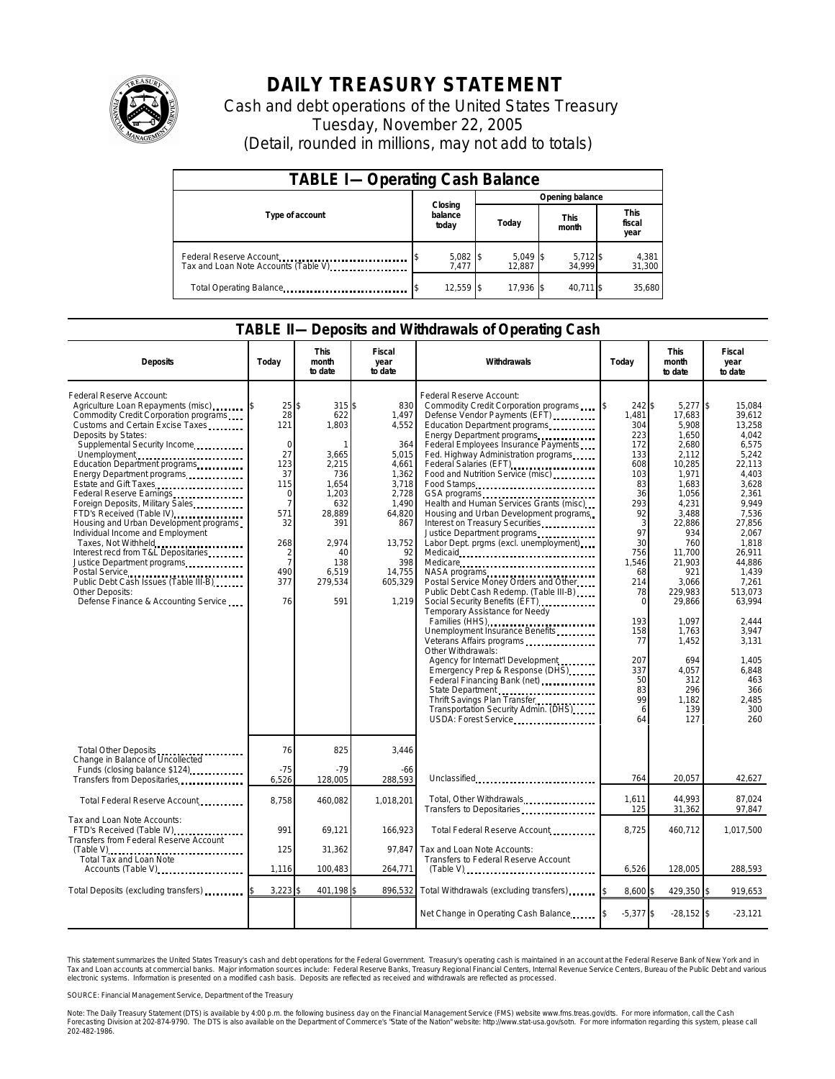

## **DAILY TREASURY STATEMENT**

Cash and debt operations of the United States Treasury Tuesday, November 22, 2005 (Detail, rounded in millions, may not add to totals)

| <b>TABLE I-Operating Cash Balance</b>                           |                             |                      |                      |                               |  |  |  |
|-----------------------------------------------------------------|-----------------------------|----------------------|----------------------|-------------------------------|--|--|--|
|                                                                 |                             | Opening balance      |                      |                               |  |  |  |
| Type of account                                                 | Closing<br>balance<br>today | Today                | <b>This</b><br>month | <b>This</b><br>fiscal<br>year |  |  |  |
| Federal Reserve Account<br>Tax and Loan Note Accounts (Table V) | $5,082$ \$<br>7.477         | $5,049$ \$<br>12.887 | $5,712$ \$<br>34.999 | 4,381<br>31,300               |  |  |  |
| Total Operating Balance                                         | 12,559 \$                   | 17.936 \$            | 40.711 \$            | 35.680                        |  |  |  |

## **TABLE II—Deposits and Withdrawals of Operating Cash**

| <b>Deposits</b>                                                                                                                                                                                                                                                                                                                                                                                                                                                                                                                                                                                                                                                 | Today                                                                                                                                                           | This<br>month<br>to date                                                                                                                        | Fiscal<br>year<br>to date                                                                                                                                | Withdrawals                                                                                                                                                                                                                                                                                                                                                                                                                                                                                                                                                                                                                                                                                                                                                                                                                                                                                                                                                                                  | Today                                                                                                                                                                                                                | <b>This</b><br>month<br>to date                                                                                                                                                                                                                                                  | Fiscal<br>year<br>to date                                                                                                                                                                                                                                                             |
|-----------------------------------------------------------------------------------------------------------------------------------------------------------------------------------------------------------------------------------------------------------------------------------------------------------------------------------------------------------------------------------------------------------------------------------------------------------------------------------------------------------------------------------------------------------------------------------------------------------------------------------------------------------------|-----------------------------------------------------------------------------------------------------------------------------------------------------------------|-------------------------------------------------------------------------------------------------------------------------------------------------|----------------------------------------------------------------------------------------------------------------------------------------------------------|----------------------------------------------------------------------------------------------------------------------------------------------------------------------------------------------------------------------------------------------------------------------------------------------------------------------------------------------------------------------------------------------------------------------------------------------------------------------------------------------------------------------------------------------------------------------------------------------------------------------------------------------------------------------------------------------------------------------------------------------------------------------------------------------------------------------------------------------------------------------------------------------------------------------------------------------------------------------------------------------|----------------------------------------------------------------------------------------------------------------------------------------------------------------------------------------------------------------------|----------------------------------------------------------------------------------------------------------------------------------------------------------------------------------------------------------------------------------------------------------------------------------|---------------------------------------------------------------------------------------------------------------------------------------------------------------------------------------------------------------------------------------------------------------------------------------|
| Federal Reserve Account:<br>Agriculture Loan Repayments (misc)<br>Commodity Credit Corporation programs<br>Customs and Certain Excise Taxes<br>Deposits by States:<br>Supplemental Security Income<br>Unemployment<br>Education Department programs<br>Energy Department programs<br>Estate and Gift Taxes<br>Federal Reserve Earnings<br>Foreign Deposits, Military Sales<br>FTD's Received (Table IV)<br>Housing and Urban Development programs<br>Individual Income and Employment<br>Interest recd from T&L Depositaries<br>Justice Department programs<br>Public Debt Cash Issues (Table III-B)<br>Other Deposits:<br>Defense Finance & Accounting Service | 25<br>28<br>121<br>$\Omega$<br>27<br>123<br>37<br>115<br>$\Omega$<br>$\overline{7}$<br>571<br>32<br>268<br>$\overline{a}$<br>$\overline{7}$<br>490<br>377<br>76 | 315\$<br>\$<br>622<br>1.803<br>3,665<br>2,215<br>736<br>1,654<br>1,203<br>632<br>28,889<br>391<br>2.974<br>40<br>138<br>6,519<br>279,534<br>591 | 830<br>1,497<br>4,552<br>364<br>5,015<br>4,661<br>1,362<br>3,718<br>2,728<br>1,490<br>64,820<br>867<br>13,752<br>92<br>398<br>14.755<br>605,329<br>1,219 | Federal Reserve Account:<br>Commodity Credit Corporation programs<br>Defense Vendor Payments (EFT)<br>Education Department programs<br>Energy Department programs<br>Federal Employees Insurance Payments<br>Fed. Highway Administration programs<br>Federal Salaries (EFT)<br>Food and Nutrition Service (misc)<br>Food Stamps<br>Health and Human Services Grants (misc)<br>Housing and Urban Development programs<br>Interest on Treasury Securities.<br>Justice Department programs<br>Labor Dept. prgms (excl. unemployment)<br>Medicare<br>NASA programs<br>Postal Service Money Orders and Other<br>Public Debt Cash Redemp. (Table III-B)<br>Social Security Benefits (EFT)<br>Temporary Assistance for Needy<br>Families (HHS)<br>Unemployment Insurance Benefits<br>Other Withdrawals:<br>Agency for Internat'l Development<br>Emergency Prep & Response (DHS)<br>State Department<br>Thrift Savings Plan Transfer<br>Transportation Security Admin. (DHS)<br>USDA: Forest Service | 242 \$<br>1,481<br>304<br>223<br>172<br>133<br>608<br>103<br>83<br>36<br>293<br>92<br>3<br>97<br>30<br>756<br>1,546<br>68<br>214<br>78<br>$\mathbf 0$<br>193<br>158<br>77<br>207<br>337<br>50<br>83<br>99<br>6<br>64 | $5,277$ \$<br>17,683<br>5,908<br>1,650<br>2,680<br>2,112<br>10,285<br>1,971<br>1,683<br>1,056<br>4,231<br>3,488<br>22,886<br>934<br>760<br>11,700<br>21,903<br>921<br>3.066<br>229,983<br>29,866<br>1.097<br>1,763<br>1,452<br>694<br>4,057<br>312<br>296<br>1.182<br>139<br>127 | 15,084<br>39.612<br>13.258<br>4,042<br>6,575<br>5,242<br>22.113<br>4,403<br>3,628<br>2,361<br>9.949<br>7,536<br>27,856<br>2,067<br>1.818<br>26.911<br>44.886<br>1,439<br>7.261<br>513.073<br>63.994<br>2.444<br>3,947<br>3.131<br>1.405<br>6,848<br>463<br>366<br>2.485<br>300<br>260 |
| Total Other Deposits<br>Change in Balance of Uncollected                                                                                                                                                                                                                                                                                                                                                                                                                                                                                                                                                                                                        | 76                                                                                                                                                              | 825<br>$-79$                                                                                                                                    | 3,446                                                                                                                                                    |                                                                                                                                                                                                                                                                                                                                                                                                                                                                                                                                                                                                                                                                                                                                                                                                                                                                                                                                                                                              |                                                                                                                                                                                                                      |                                                                                                                                                                                                                                                                                  |                                                                                                                                                                                                                                                                                       |
| Funds (closing balance \$124)<br>Funds (closing balance \$124)<br>Transfers from Depositaries                                                                                                                                                                                                                                                                                                                                                                                                                                                                                                                                                                   | $-75$<br>6,526                                                                                                                                                  | 128,005                                                                                                                                         | -66<br>288,593                                                                                                                                           | Unclassified                                                                                                                                                                                                                                                                                                                                                                                                                                                                                                                                                                                                                                                                                                                                                                                                                                                                                                                                                                                 | 764                                                                                                                                                                                                                  | 20.057                                                                                                                                                                                                                                                                           | 42,627                                                                                                                                                                                                                                                                                |
| Total Federal Reserve Account                                                                                                                                                                                                                                                                                                                                                                                                                                                                                                                                                                                                                                   | 8,758                                                                                                                                                           | 460,082                                                                                                                                         | 1,018,201                                                                                                                                                | Total, Other Withdrawals<br>Transfers to Depositaries                                                                                                                                                                                                                                                                                                                                                                                                                                                                                                                                                                                                                                                                                                                                                                                                                                                                                                                                        | 1,611<br>125                                                                                                                                                                                                         | 44,993<br>31,362                                                                                                                                                                                                                                                                 | 87.024<br>97,847                                                                                                                                                                                                                                                                      |
| Tax and Loan Note Accounts:<br>FTD's Received (Table IV)<br>Transfers from Federal Reserve Account                                                                                                                                                                                                                                                                                                                                                                                                                                                                                                                                                              | 991                                                                                                                                                             | 69,121                                                                                                                                          | 166,923                                                                                                                                                  | Total Federal Reserve Account                                                                                                                                                                                                                                                                                                                                                                                                                                                                                                                                                                                                                                                                                                                                                                                                                                                                                                                                                                | 8,725                                                                                                                                                                                                                | 460,712                                                                                                                                                                                                                                                                          | 1,017,500                                                                                                                                                                                                                                                                             |
| Total Tax and Loan Note<br>Accounts (Table V)                                                                                                                                                                                                                                                                                                                                                                                                                                                                                                                                                                                                                   | 125<br>1,116                                                                                                                                                    | 31,362<br>100,483                                                                                                                               | 97.847<br>264,771                                                                                                                                        | Tax and Loan Note Accounts:<br>Transfers to Federal Reserve Account<br>$(Table V)$                                                                                                                                                                                                                                                                                                                                                                                                                                                                                                                                                                                                                                                                                                                                                                                                                                                                                                           | 6,526                                                                                                                                                                                                                | 128,005                                                                                                                                                                                                                                                                          | 288,593                                                                                                                                                                                                                                                                               |
|                                                                                                                                                                                                                                                                                                                                                                                                                                                                                                                                                                                                                                                                 |                                                                                                                                                                 |                                                                                                                                                 | 896.532                                                                                                                                                  |                                                                                                                                                                                                                                                                                                                                                                                                                                                                                                                                                                                                                                                                                                                                                                                                                                                                                                                                                                                              |                                                                                                                                                                                                                      |                                                                                                                                                                                                                                                                                  |                                                                                                                                                                                                                                                                                       |
| Total Deposits (excluding transfers)                                                                                                                                                                                                                                                                                                                                                                                                                                                                                                                                                                                                                            | 3,223                                                                                                                                                           | 401,198                                                                                                                                         |                                                                                                                                                          | Total Withdrawals (excluding transfers)                                                                                                                                                                                                                                                                                                                                                                                                                                                                                                                                                                                                                                                                                                                                                                                                                                                                                                                                                      | 8,600 \$                                                                                                                                                                                                             | 429,350 \$                                                                                                                                                                                                                                                                       | 919,653                                                                                                                                                                                                                                                                               |
|                                                                                                                                                                                                                                                                                                                                                                                                                                                                                                                                                                                                                                                                 |                                                                                                                                                                 |                                                                                                                                                 |                                                                                                                                                          | Net Change in Operating Cash Balance                                                                                                                                                                                                                                                                                                                                                                                                                                                                                                                                                                                                                                                                                                                                                                                                                                                                                                                                                         | $-5,377$ \$                                                                                                                                                                                                          | $-28,152$ \$                                                                                                                                                                                                                                                                     | $-23,121$                                                                                                                                                                                                                                                                             |

This statement summarizes the United States Treasury's cash and debt operations for the Federal Government. Treasury's operating cash is maintained in an account at the Federal Reserve Bank of New York and in<br>Tax and Loan narizes the United States Treasury's cash and debt operations for the Federal Government. Treasury's operating cash is maintained in an account at the Federal<br>ints at commercial banks. Major information sources include: Fe

SOURCE: Financial Management Service, Department of the Treasury

Note: The Daily Treasury Statement (DTS) is available by 4:00 p.m. the following business day on the Financial Management Service (FMS) website www.fms.treas.gov/dts. For more information, call the Cash<br>Forecasting Divisio 202-482-1986.